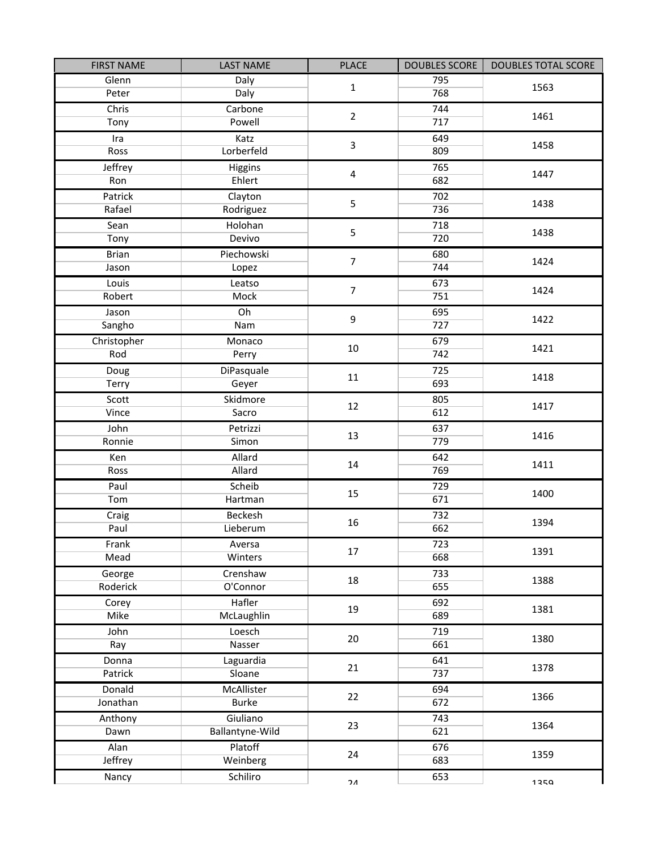| <b>FIRST NAME</b> | <b>LAST NAME</b> | <b>PLACE</b>            | <b>DOUBLES SCORE</b> | <b>DOUBLES TOTAL SCORE</b> |  |
|-------------------|------------------|-------------------------|----------------------|----------------------------|--|
| Glenn             | Daly             | $\mathbf{1}$            | 795                  | 1563                       |  |
| Peter             | Daly             |                         | 768                  |                            |  |
| Chris             | Carbone          | $\overline{2}$          | 744                  | 1461                       |  |
| Tony              | Powell           |                         | 717                  |                            |  |
| Ira               | Katz             | $\overline{3}$          | 649                  | 1458                       |  |
| Ross              | Lorberfeld       |                         | 809                  |                            |  |
| Jeffrey           | Higgins          | $\overline{\mathbf{4}}$ | 765                  | 1447                       |  |
| Ron               | Ehlert           |                         | 682                  |                            |  |
| Patrick           | Clayton          | 5                       | 702                  | 1438                       |  |
| Rafael            | Rodriguez        |                         | 736                  |                            |  |
| Sean              | Holohan          | 5                       | 718                  | 1438                       |  |
| Tony              | Devivo           |                         | 720                  |                            |  |
| <b>Brian</b>      | Piechowski       | $\overline{7}$          | 680                  | 1424                       |  |
| Jason             | Lopez            |                         | 744                  |                            |  |
| Louis             | Leatso           | $\overline{7}$          | 673                  | 1424                       |  |
| Robert            | <b>Mock</b>      |                         | 751                  |                            |  |
| Jason             | Oh               | 9                       | 695                  | 1422                       |  |
| Sangho            | Nam              |                         | 727                  |                            |  |
| Christopher       | Monaco           | 10                      | 679                  | 1421                       |  |
| Rod               | Perry            |                         | 742                  |                            |  |
| Doug              | DiPasquale       | 11                      | 725                  | 1418                       |  |
| Terry             | Geyer            |                         | 693                  |                            |  |
| Scott             | Skidmore         | 12                      | 805                  | 1417                       |  |
| Vince             | Sacro            |                         | 612                  |                            |  |
| John              | Petrizzi         | 13                      | 637                  | 1416                       |  |
| Ronnie            | Simon            |                         | 779                  |                            |  |
| Ken               | Allard           | 14                      | 642                  | 1411                       |  |
| Ross              | Allard           |                         | 769                  |                            |  |
| Paul              | Scheib           | 15                      | 729                  | 1400                       |  |
| Tom               | Hartman          |                         | 671                  |                            |  |
| Craig             | Beckesh          | 16                      | 732                  | 1394                       |  |
| Paul              | Lieberum         |                         | 662                  |                            |  |
| Frank             | Aversa           | 17                      | 723                  | 1391                       |  |
| Mead              | Winters          |                         | 668                  |                            |  |
| George            | Crenshaw         | 18                      | 733                  | 1388                       |  |
| Roderick          | O'Connor         |                         | 655                  |                            |  |
| Corey             | Hafler           | 19                      | 692                  | 1381                       |  |
| <b>Mike</b>       | McLaughlin       |                         | 689                  |                            |  |
| John              | Loesch           | 20                      | 719                  | 1380                       |  |
| Ray               | Nasser           |                         | 661                  |                            |  |
| Donna             | Laguardia        | 21                      | 641                  | 1378                       |  |
| Patrick           | Sloane           |                         | 737                  |                            |  |
| Donald            | McAllister       | 22                      | 694                  | 1366                       |  |
| Jonathan          | <b>Burke</b>     |                         | 672                  |                            |  |
| Anthony           | Giuliano         | 23                      | 743                  | 1364                       |  |
| Dawn              | Ballantyne-Wild  |                         |                      | 621                        |  |
| Alan              | Platoff          | 24                      | 676                  | 1359                       |  |
| Jeffrey           | Weinberg         |                         | 683                  |                            |  |
| Nancy             | Schiliro         | ን ለ                     | 653                  | 1250                       |  |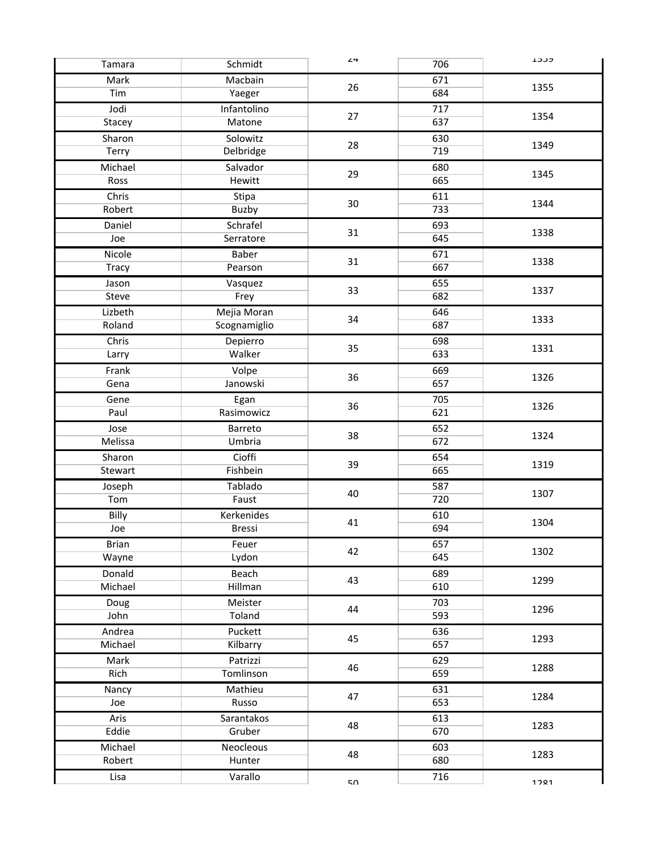| Tamara            | Schmidt               | 24 | 706        | ברכד |
|-------------------|-----------------------|----|------------|------|
| Mark              | Macbain               | 26 | 671        | 1355 |
| Tim               | Yaeger                |    | 684        |      |
| Jodi              | Infantolino           | 27 | 717        | 1354 |
| Stacey            | Matone                |    | 637        |      |
| Sharon            | Solowitz              | 28 | 630        | 1349 |
| Terry             | Delbridge             |    | 719        |      |
| Michael           | Salvador              | 29 | 680        | 1345 |
| Ross              | <b>Hewitt</b>         |    | 665        |      |
| Chris             | Stipa                 |    | 611        |      |
| Robert            | Buzby                 | 30 | 733        | 1344 |
| Daniel            | Schrafel              | 31 | 693        | 1338 |
| Joe               | Serratore             |    | 645        |      |
| Nicole            | Baber                 |    | 671        | 1338 |
| <b>Tracy</b>      | Pearson               | 31 | 667        |      |
| Jason             | Vasquez               |    | 655        | 1337 |
| Steve             | Frey                  | 33 | 682        |      |
| Lizbeth           | Mejia Moran           | 34 | 646        |      |
| Roland            | Scognamiglio          |    | 687        | 1333 |
| Chris             | Depierro              | 35 | 698        |      |
| Larry             | Walker                |    | 633        | 1331 |
| Frank             | Volpe                 | 36 | 669        | 1326 |
| Gena              | Janowski              |    | 657        |      |
| Gene              | Egan                  | 36 | 705        | 1326 |
| Paul              | Rasimowicz            |    | 621        |      |
| Jose              | Barreto               | 38 | 652        | 1324 |
| Melissa           | Umbria                |    | 672        |      |
| Sharon            | Cioffi                | 39 | 654        | 1319 |
| Stewart           | Fishbein              |    | 665        |      |
| Joseph            | Tablado               | 40 | 587        | 1307 |
| Tom               | Faust                 |    | 720        |      |
| Billy             | Kerkenides            | 41 | 610        | 1304 |
| Joe               | <b>Bressi</b>         |    | 694        |      |
| <b>Brian</b>      | Feuer                 | 42 | 657        | 1302 |
| Wayne             | Lydon                 |    | 645        |      |
| Donald            | Beach                 | 43 | 689        | 1299 |
| Michael           | Hillman               |    | 610        |      |
| Doug              | Meister               | 44 | 703        | 1296 |
| John              | Toland                |    | 593        |      |
| Andrea<br>Michael | Puckett               | 45 | 636        | 1293 |
|                   | Kilbarry              |    | 657        |      |
| Mark<br>Rich      | Patrizzi<br>Tomlinson | 46 | 629<br>659 | 1288 |
|                   |                       |    |            |      |
| Nancy             | Mathieu               | 47 | 631<br>653 | 1284 |
| Joe               | Russo                 |    |            |      |
| Aris<br>Eddie     | Sarantakos<br>Gruber  | 48 | 613<br>670 | 1283 |
|                   |                       |    |            |      |
| Michael<br>Robert | Neocleous<br>Hunter   | 48 | 603<br>680 | 1283 |
|                   |                       |    |            |      |
| Lisa              | Varallo               | 50 | 716        | 1721 |